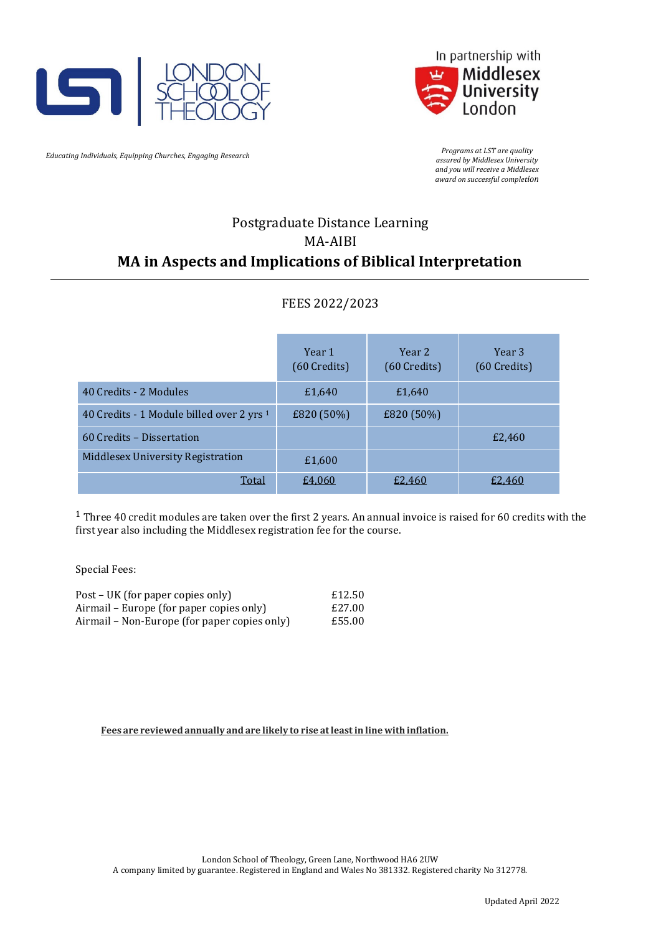



*Educating Individuals, Equipping Churches, Engaging Research Programs at LST are quality Programs at LST are quality Programs at LST are quality Programs at LST are quality Programs at LST are quality Programs* 

*assured by Middlesex University and you will receive a Middlesex award on successful completion*

# Postgraduate Distance Learning MA-AIBI **MA in Aspects and Implications of Biblical Interpretation**

## FEES 2022/2023

|                                                      | Year 1<br>(60 Credits) | Year 2<br>(60 Credits) | Year <sub>3</sub><br>(60 Credits) |
|------------------------------------------------------|------------------------|------------------------|-----------------------------------|
| 40 Credits - 2 Modules                               | £1,640                 | £1,640                 |                                   |
| 40 Credits - 1 Module billed over 2 yrs <sup>1</sup> | £820 (50%)             | £820 (50%)             |                                   |
| 60 Credits - Dissertation                            |                        |                        | £2,460                            |
| Middlesex University Registration                    | £1,600                 |                        |                                   |
| Total                                                | £4,060                 | £2,460                 | £2.460                            |

<sup>1</sup> Three 40 credit modules are taken over the first 2 years. An annual invoice is raised for 60 credits with the first year also including the Middlesex registration fee for the course.

Special Fees:

| Post – UK (for paper copies only)            | £12.50 |
|----------------------------------------------|--------|
| Airmail – Europe (for paper copies only)     | £27.00 |
| Airmail – Non-Europe (for paper copies only) | £55.00 |

**Fees are reviewed annually and are likely to rise atleastin line with inflation.**